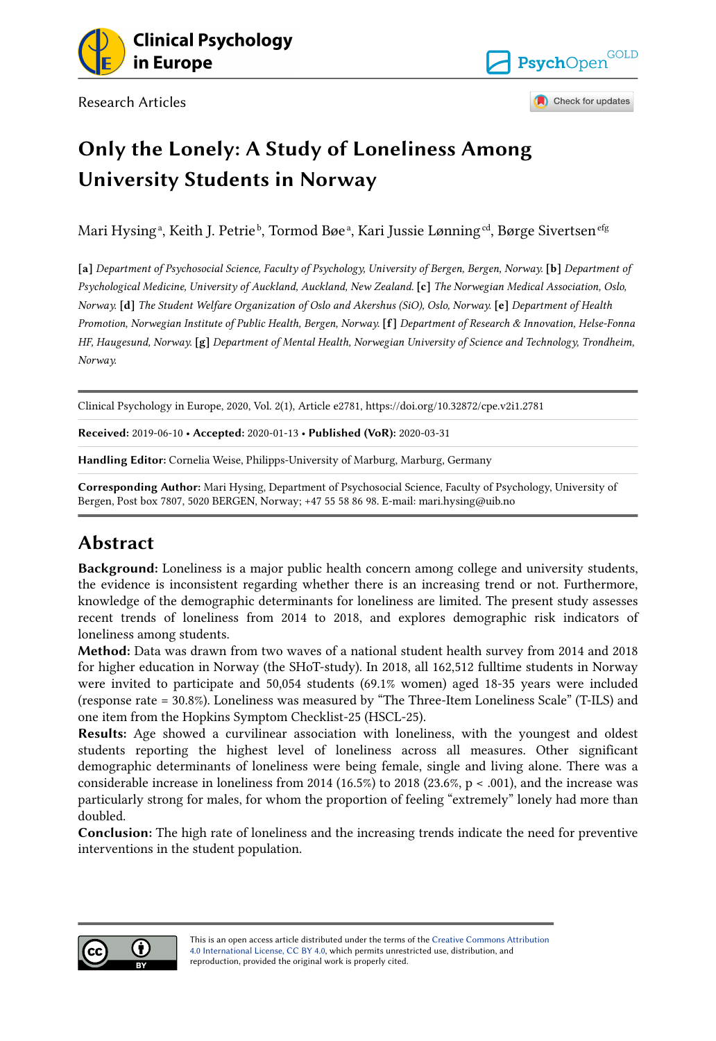

Research Articles



Check for updates

## Only the Lonely: A Study of Loneliness Among University Students in Norway

Mari Hysingª, Keith J. Petrieʰ, Tormod Bøeª, Kari Jussie Lønning<sup>ed</sup>, Børge Sivertsen<sup>efg</sup>

[a] Department of Psychosocial Science, Faculty of Psychology, University of Bergen, Bergen, Norway. [b] Department of Psychological Medicine, University of Auckland, Auckland, New Zealand. [c] The Norwegian Medical Association, Oslo, Norway. [d] The Student Welfare Organization of Oslo and Akershus (SiO), Oslo, Norway. [e] Department of Health Promotion, Norwegian Institute of Public Health, Bergen, Norway. [f] Department of Research & Innovation, Helse-Fonna HF, Haugesund, Norway. [g] Department of Mental Health, Norwegian University of Science and Technology, Trondheim, Norway.

Clinical Psychology in Europe, 2020, Vol. 2(1), Article e2781, https://doi.org/10.32872/cpe.v2i1.2781

Received: 2019-06-10 • Accepted: 2020-01-13 • Published (VoR): 2020-03-31

Handling Editor: Cornelia Weise, Philipps-University of Marburg, Marburg, Germany

Corresponding Author: Mari Hysing, Department of Psychosocial Science, Faculty of Psychology, University of Bergen, Post box 7807, 5020 BERGEN, Norway; +47 55 58 86 98. E-mail: mari.hysing@uib.no

## Abstract

Background: Loneliness is a major public health concern among college and university students, the evidence is inconsistent regarding whether there is an increasing trend or not. Furthermore, knowledge of the demographic determinants for loneliness are limited. The present study assesses recent trends of loneliness from 2014 to 2018, and explores demographic risk indicators of loneliness among students.

Method: Data was drawn from two waves of a national student health survey from 2014 and 2018 for higher education in Norway (the SHoT-study). In 2018, all 162,512 fulltime students in Norway were invited to participate and 50,054 students (69.1% women) aged 18-35 years were included (response rate = 30.8%). Loneliness was measured by "The Three-Item Loneliness Scale" (T-ILS) and one item from the Hopkins Symptom Checklist-25 (HSCL-25).

Results: Age showed a curvilinear association with loneliness, with the youngest and oldest students reporting the highest level of loneliness across all measures. Other significant demographic determinants of loneliness were being female, single and living alone. There was a considerable increase in loneliness from 2014 (16.5%) to 2018 (23.6%,  $p < .001$ ), and the increase was particularly strong for males, for whom the proportion of feeling "extremely" lonely had more than doubled.

Conclusion: The high rate of loneliness and the increasing trends indicate the need for preventive interventions in the student population.

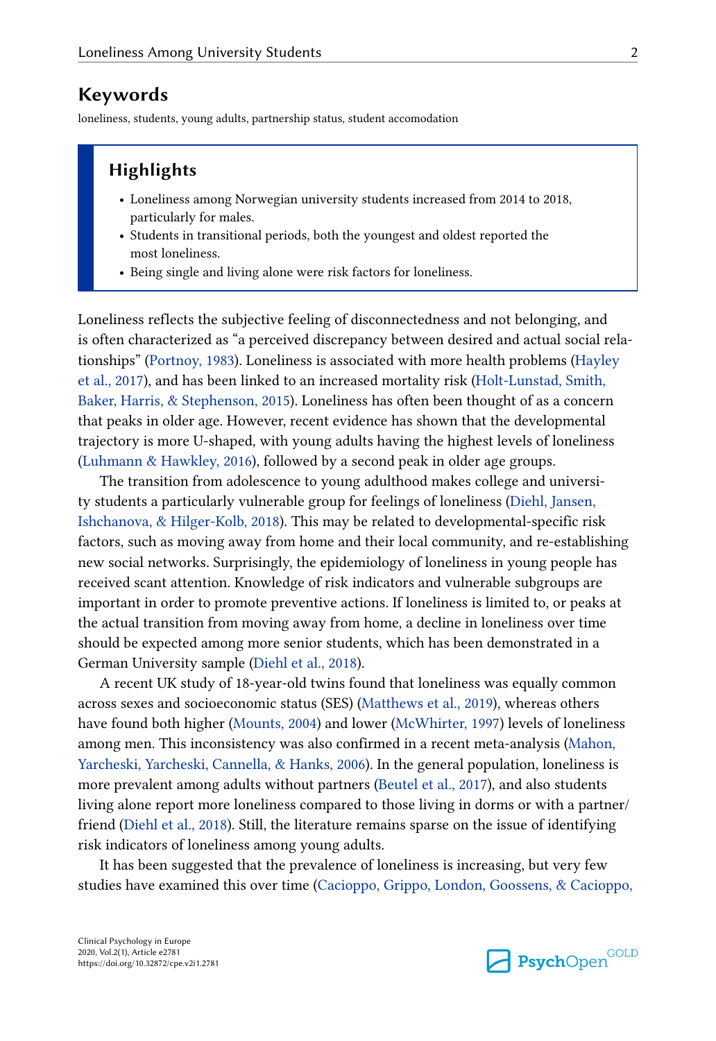## Keywords

loneliness, students, young adults, partnership status, student accomodation

## **Highlights**

- Loneliness among Norwegian university students increased from 2014 to 2018, particularly for males.
- Students in transitional periods, both the youngest and oldest reported the most loneliness.
- Being single and living alone were risk factors for loneliness.

Loneliness reflects the subjective feeling of disconnectedness and not belonging, and is often characterized as "a perceived discrepancy between desired and actual social rela‐ tionships" ([Portnoy, 1983](#page-14-0)). Loneliness is associated with more health problems [\(Hayley](#page-13-0) [et al., 2017\)](#page-13-0), and has been linked to an increased mortality risk [\(Holt-Lunstad, Smith,](#page-13-0) [Baker, Harris, & Stephenson, 2015\)](#page-13-0). Loneliness has often been thought of as a concern that peaks in older age. However, recent evidence has shown that the developmental trajectory is more U-shaped, with young adults having the highest levels of loneliness [\(Luhmann & Hawkley, 2016\)](#page-14-0), followed by a second peak in older age groups.

The transition from adolescence to young adulthood makes college and university students a particularly vulnerable group for feelings of loneliness [\(Diehl, Jansen,](#page-13-0) [Ishchanova, & Hilger-Kolb, 2018\)](#page-13-0). This may be related to developmental-specific risk factors, such as moving away from home and their local community, and re-establishing new social networks. Surprisingly, the epidemiology of loneliness in young people has received scant attention. Knowledge of risk indicators and vulnerable subgroups are important in order to promote preventive actions. If loneliness is limited to, or peaks at the actual transition from moving away from home, a decline in loneliness over time should be expected among more senior students, which has been demonstrated in a German University sample ([Diehl et al., 2018](#page-13-0)).

A recent UK study of 18-year-old twins found that loneliness was equally common across sexes and socioeconomic status (SES) [\(Matthews et al., 2019](#page-14-0)), whereas others have found both higher [\(Mounts, 2004\)](#page-14-0) and lower ([McWhirter, 1997\)](#page-14-0) levels of loneliness among men. This inconsistency was also confirmed in a recent meta-analysis ([Mahon,](#page-14-0) [Yarcheski, Yarcheski, Cannella, & Hanks, 2006\)](#page-14-0). In the general population, loneliness is more prevalent among adults without partners [\(Beutel et al., 2017\)](#page-13-0), and also students living alone report more loneliness compared to those living in dorms or with a partner/ friend ([Diehl et al., 2018](#page-13-0)). Still, the literature remains sparse on the issue of identifying risk indicators of loneliness among young adults.

It has been suggested that the prevalence of loneliness is increasing, but very few studies have examined this over time ([Cacioppo, Grippo, London, Goossens, & Cacioppo,](#page-13-0)

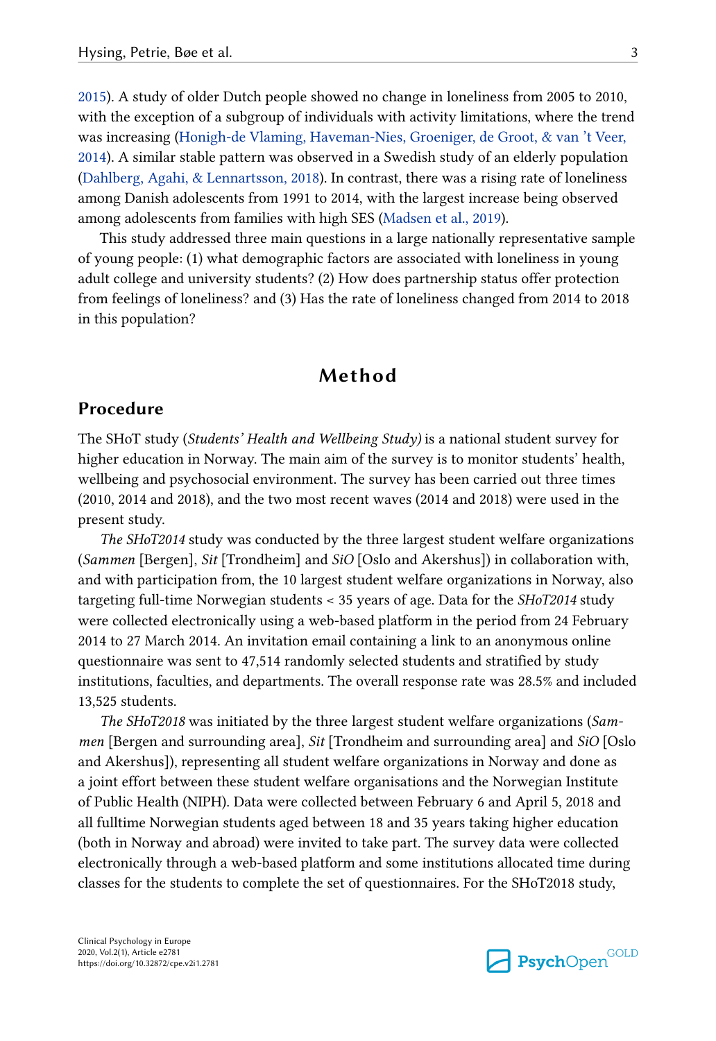[2015\)](#page-13-0). A study of older Dutch people showed no change in loneliness from 2005 to 2010, with the exception of a subgroup of individuals with activity limitations, where the trend was increasing [\(Honigh-de Vlaming, Haveman-Nies, Groeniger, de Groot, & van 't Veer,](#page-14-0) [2014\)](#page-14-0). A similar stable pattern was observed in a Swedish study of an elderly population [\(Dahlberg, Agahi, & Lennartsson, 2018\)](#page-13-0). In contrast, there was a rising rate of loneliness among Danish adolescents from 1991 to 2014, with the largest increase being observed among adolescents from families with high SES [\(Madsen et al., 2019\)](#page-14-0).

This study addressed three main questions in a large nationally representative sample of young people: (1) what demographic factors are associated with loneliness in young adult college and university students? (2) How does partnership status offer protection from feelings of loneliness? and (3) Has the rate of loneliness changed from 2014 to 2018 in this population?

## Method

## Procedure

The SHoT study (Students' Health and Wellbeing Study) is a national student survey for higher education in Norway. The main aim of the survey is to monitor students' health, wellbeing and psychosocial environment. The survey has been carried out three times (2010, 2014 and 2018), and the two most recent waves (2014 and 2018) were used in the present study.

The SHoT2014 study was conducted by the three largest student welfare organizations (Sammen [Bergen], Sit [Trondheim] and SiO [Oslo and Akershus]) in collaboration with, and with participation from, the 10 largest student welfare organizations in Norway, also targeting full-time Norwegian students < 35 years of age. Data for the SHoT2014 study were collected electronically using a web-based platform in the period from 24 February 2014 to 27 March 2014. An invitation email containing a link to an anonymous online questionnaire was sent to 47,514 randomly selected students and stratified by study institutions, faculties, and departments. The overall response rate was 28.5% and included 13,525 students.

The SHoT2018 was initiated by the three largest student welfare organizations (Sam‐ men [Bergen and surrounding area], Sit [Trondheim and surrounding area] and SiO [Oslo and Akershus]), representing all student welfare organizations in Norway and done as a joint effort between these student welfare organisations and the Norwegian Institute of Public Health (NIPH). Data were collected between February 6 and April 5, 2018 and all fulltime Norwegian students aged between 18 and 35 years taking higher education (both in Norway and abroad) were invited to take part. The survey data were collected electronically through a web-based platform and some institutions allocated time during classes for the students to complete the set of questionnaires. For the SHoT2018 study,

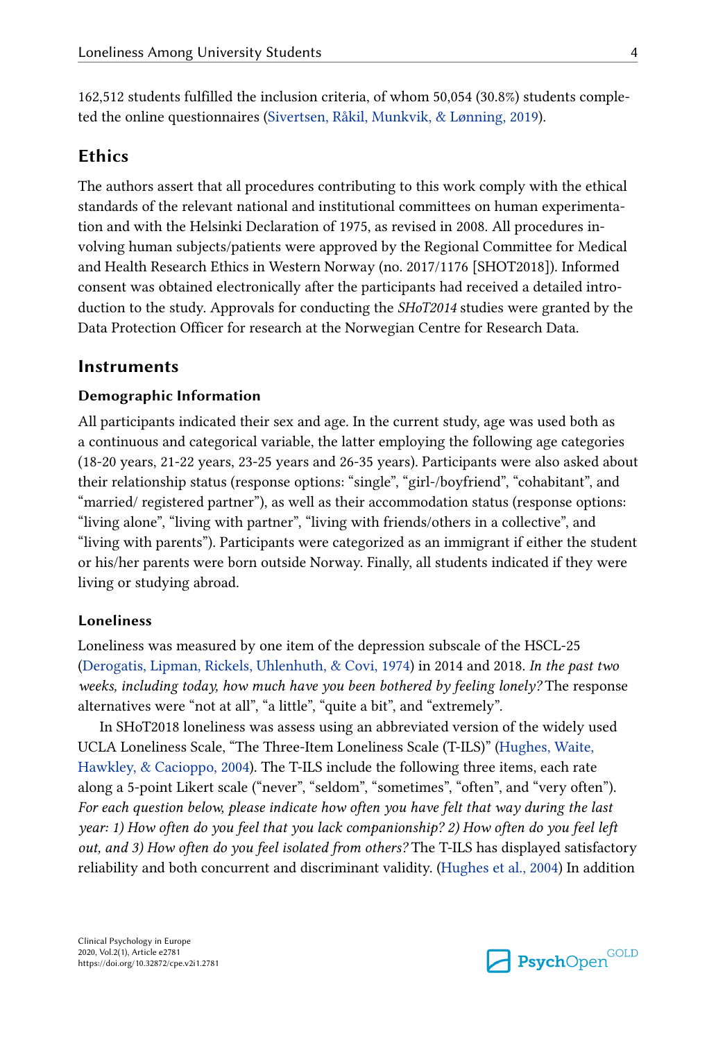162,512 students fulfilled the inclusion criteria, of whom 50,054 (30.8%) students comple‐ ted the online questionnaires [\(Sivertsen, Råkil, Munkvik, & Lønning, 2019\)](#page-15-0).

## **Ethics**

The authors assert that all procedures contributing to this work comply with the ethical standards of the relevant national and institutional committees on human experimenta‐ tion and with the Helsinki Declaration of 1975, as revised in 2008. All procedures in‐ volving human subjects/patients were approved by the Regional Committee for Medical and Health Research Ethics in Western Norway (no. 2017/1176 [SHOT2018]). Informed consent was obtained electronically after the participants had received a detailed introduction to the study. Approvals for conducting the SHoT2014 studies were granted by the Data Protection Officer for research at the Norwegian Centre for Research Data.

#### Instruments

#### Demographic Information

All participants indicated their sex and age. In the current study, age was used both as a continuous and categorical variable, the latter employing the following age categories (18-20 years, 21-22 years, 23-25 years and 26-35 years). Participants were also asked about their relationship status (response options: "single", "girl-/boyfriend", "cohabitant", and "married/ registered partner"), as well as their accommodation status (response options: "living alone", "living with partner", "living with friends/others in a collective", and "living with parents"). Participants were categorized as an immigrant if either the student or his/her parents were born outside Norway. Finally, all students indicated if they were living or studying abroad.

#### Loneliness

Loneliness was measured by one item of the depression subscale of the HSCL-25 [\(Derogatis, Lipman, Rickels, Uhlenhuth, & Covi, 1974\)](#page-13-0) in 2014 and 2018. In the past two weeks, including today, how much have you been bothered by feeling lonely? The response alternatives were "not at all", "a little", "quite a bit", and "extremely".

In SHoT2018 loneliness was assess using an abbreviated version of the widely used UCLA Loneliness Scale, "The Three-Item Loneliness Scale (T-ILS)" [\(Hughes, Waite,](#page-14-0) [Hawkley, & Cacioppo, 2004](#page-14-0)). The T-ILS include the following three items, each rate along a 5-point Likert scale ("never", "seldom", "sometimes", "often", and "very often"). For each question below, please indicate how often you have felt that way during the last year: 1) How often do you feel that you lack companionship? 2) How often do you feel left out, and 3) How often do you feel isolated from others? The T-ILS has displayed satisfactory reliability and both concurrent and discriminant validity. [\(Hughes et al., 2004\)](#page-14-0) In addition

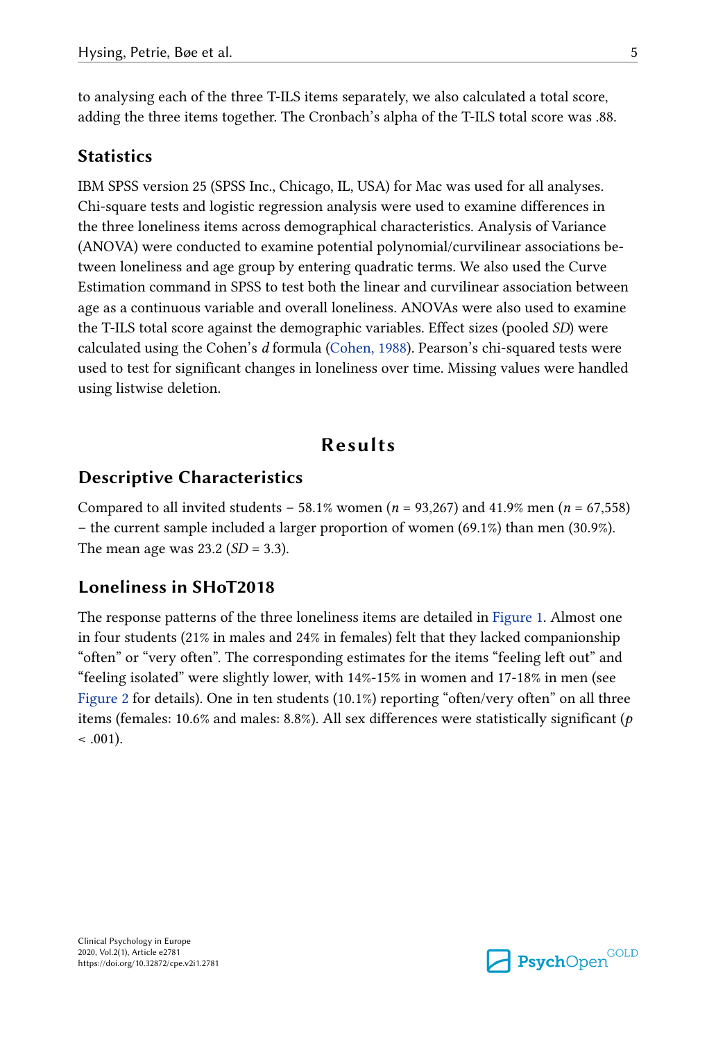to analysing each of the three T-ILS items separately, we also calculated a total score, adding the three items together. The Cronbach's alpha of the T-ILS total score was .88.

## **Statistics**

IBM SPSS version 25 (SPSS Inc., Chicago, IL, USA) for Mac was used for all analyses. Chi-square tests and logistic regression analysis were used to examine differences in the three loneliness items across demographical characteristics. Analysis of Variance (ANOVA) were conducted to examine potential polynomial/curvilinear associations be‐ tween loneliness and age group by entering quadratic terms. We also used the Curve Estimation command in SPSS to test both the linear and curvilinear association between age as a continuous variable and overall loneliness. ANOVAs were also used to examine the T-ILS total score against the demographic variables. Effect sizes (pooled SD) were calculated using the Cohen's d formula ([Cohen, 1988\)](#page-13-0). Pearson's chi-squared tests were used to test for significant changes in loneliness over time. Missing values were handled using listwise deletion.

## Results

## Descriptive Characteristics

Compared to all invited students – 58.1% women ( $n = 93,267$ ) and 41.9% men ( $n = 67,558$ ) – the current sample included a larger proportion of women (69.1%) than men (30.9%). The mean age was  $23.2$  (*SD* = 3.3).

#### Loneliness in SHoT2018

The response patterns of the three loneliness items are detailed in [Figure 1](#page-5-0). Almost one in four students (21% in males and 24% in females) felt that they lacked companionship "often" or "very often". The corresponding estimates for the items "feeling left out" and "feeling isolated" were slightly lower, with 14%-15% in women and 17-18% in men (see [Figure 2](#page-7-0) for details). One in ten students (10.1%) reporting "often/very often" on all three items (females: 10.6% and males: 8.8%). All sex differences were statistically significant ( $p$ )  $< .001$ ).

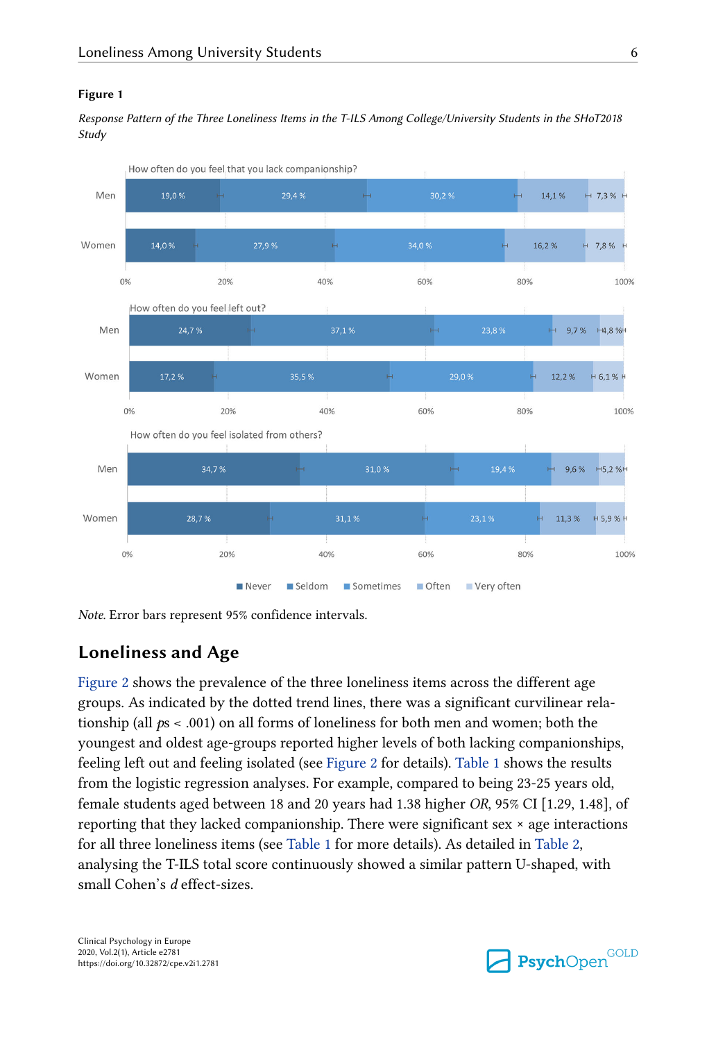#### <span id="page-5-0"></span>Figure 1

Response Pattern of the Three Loneliness Items in the T-ILS Among College/University Students in the SHoT2018 Study



Note. Error bars represent 95% confidence intervals.

## Loneliness and Age

[Figure 2](#page-7-0) shows the prevalence of the three loneliness items across the different age groups. As indicated by the dotted trend lines, there was a significant curvilinear rela‐ tionship (all  $ps < .001$ ) on all forms of loneliness for both men and women; both the youngest and oldest age-groups reported higher levels of both lacking companionships, feeling left out and feeling isolated (see [Figure 2](#page-7-0) for details). [Table 1](#page-6-0) shows the results from the logistic regression analyses. For example, compared to being 23-25 years old, female students aged between 18 and 20 years had 1.38 higher OR, 95% CI [1.29, 1.48], of reporting that they lacked companionship. There were significant sex  $\times$  age interactions for all three loneliness items (see [Table 1](#page-6-0) for more details). As detailed in [Table 2,](#page-7-0) analysing the T-ILS total score continuously showed a similar pattern U-shaped, with small Cohen's d effect-sizes.

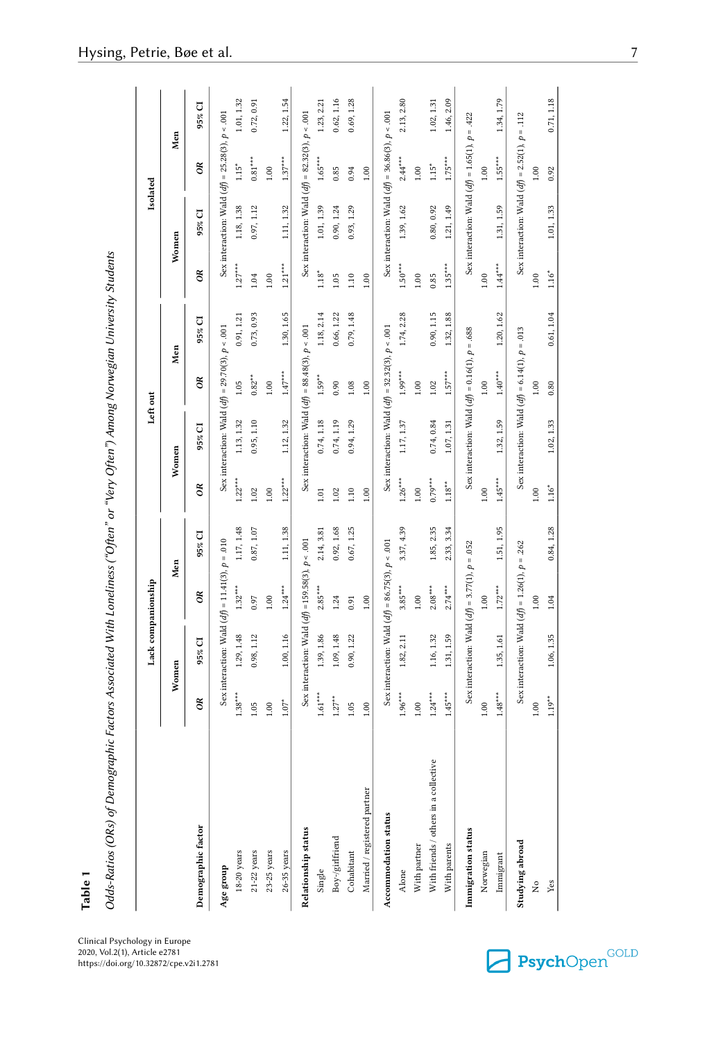<span id="page-6-0"></span>

|                                       |              | Lack companionship                                   |           |            |             | Left out                                             |                         |            |              | Isolated                                                   |           |            |
|---------------------------------------|--------------|------------------------------------------------------|-----------|------------|-------------|------------------------------------------------------|-------------------------|------------|--------------|------------------------------------------------------------|-----------|------------|
|                                       |              | Women                                                |           | Men        |             | Women                                                |                         | Men        |              | Women                                                      |           | Men        |
| Demographic factor                    | ð            | 95% CI                                               | ã         | 95% CI     | ð           | 95% CI                                               | $\tilde{\mathcal{C}}$   | 95% CI     | œ            | 95% CI                                                     | ã         | 95% CI     |
| Age group                             |              | Sex interaction: Wald $(df) = 11.41(3), p = .010$    |           |            |             | Sex interaction: Wald $(df) = 29.70(3)$ , $p < .001$ |                         |            |              | Sex interaction: Wald $(df) = 25.28(3)$ , $p < .001$       |           |            |
| $18-20$ years                         | $1.38***$    | 1.29, 1.48                                           | $1.32***$ | 1.17, 1.48 | $1.22***$   | 1.13, 1.32                                           | $1.05$                  | 0.91, 1.21 | $1.27***$    | 1.18, 1.38                                                 | $1.15*$   | 1.01, 1.32 |
| $21 - 22$ years                       | 1.05         | 0.98, 1.12                                           | 0.97      | 0.87, 1.07 | 1.02        | 0.95, 1.10                                           | $0.82***$               | 0.73, 0.93 | 1.04         | 0.97, 1.12                                                 | $0.81***$ | 0.72, 0.91 |
| 23-25 years                           | 1.00         |                                                      | $1.00\,$  |            | $1.00\,$    |                                                      | $1.00\,$                |            | $1.00$       |                                                            | $1.00\,$  |            |
| 26-35 years                           | $1.07^*$     | 1.00, 1.16                                           | $1.24***$ | 1.11, 1.38 | $1.22***$   | 1.12, 1.32                                           | $1.47***$               | 1.30, 1.65 | $1.21***$    | 1.11, 1.32                                                 | $1.37***$ | 1.22, 1.54 |
| Relationship status                   |              | Sex interaction: Wald $(df)$ =159.58(3), $p$ < .001  |           |            |             | Sex interaction: Wald $(df) = 88.48(3), p < .001$    |                         |            |              | Sex interaction: Wald $(d\hat{f}) = 82.32(3)$ , $p < .001$ |           |            |
| Single                                | $1.61^{***}$ | 1.39, 1.86                                           | $2.85***$ | 2.14, 3.81 | $1.01\,$    | 0.74, 1.18                                           | $1.59***$               | 1.18, 2.14 | $1.18^*$     | 1.01, 1.39                                                 | $1.65***$ | 1.23, 2.21 |
| Boy-/girlfriend                       | $1.27***$    | 1.09, 1.48                                           | 1.24      | 0.92, 1.68 | 1.02        | 0.74, 1.19                                           | 0.90                    | 0.66, 1.22 | 1.05         | 0.90, 1.24                                                 | 0.85      | 0.62, 1.16 |
| Cohabitant                            | 1.05         | 0.90, 1.22                                           | 0.91      | 0.67, 1.25 | 1.10        | 0.94, 1.29                                           | $1.08\,$                | 0.79, 1.48 | 1.10         | 0.93, 1.29                                                 | 0.94      | 0.69, 1.28 |
| $\rm{Married}$ / registered partner   | 1.00         |                                                      | 1.00      |            | $1.00\,$    |                                                      | $1.00\,$                |            | $1.00$       |                                                            | 1.00      |            |
| Accommodation status                  |              | Sex interaction: Wald $(df) = 86.75(3)$ , $p < .001$ |           |            |             | Sex interaction: Wald $(df) = 32.32(3), p < .001$    |                         |            |              | Sex interaction: Wald $(df) = 36.86(3)$ , $p < .001$       |           |            |
| Alone                                 | $1.96***$    | 1.82, 2.11                                           | $3.85***$ | 3.37, 4.39 | $1.26***$   | 1.17, 1.37                                           | $1.99***$               | 1.74, 2.28 | $1.50***$    | 1.39, 1.62                                                 | $2.44***$ | 2.13, 2.80 |
| With partner                          | 1.00         |                                                      | $1.00$    |            | 1.00        |                                                      | $1.00$                  |            | 1.00         |                                                            | $1.00$    |            |
| With friends / others in a collective | $1.24***$    | 1.16, 1.32                                           | $2.08***$ | 1.85, 2.35 | $0.79***$   | 0.74, 0.84                                           | $1.02\,$                | 0.90, 1.15 | 0.85         | 0.80, 0.92                                                 | $1.15*$   | 1.02, 1.31 |
| With parents                          | $1.45***$    | 1.31, 1.59                                           | $2.74***$ | 2.33, 3.34 | $1.18^{**}$ | 1.07, 1.31                                           | $1.57***$               | 1.32, 1.88 | $1.35***$    | 1.21, 1.49                                                 | $1.75***$ | 1.46, 2.09 |
| Immigration status                    |              | Sex interaction: Wald $(df) = 3.77(1)$ , $p = .052$  |           |            |             | Sex interaction: Wald $(df) = 0.16(1)$ , $p = .688$  |                         |            |              | Sex interaction: Wald $(df) = 1.65(1), p = .422$           |           |            |
| Norwegian                             | 1.00         |                                                      | 1.00      |            | $1.00\,$    |                                                      | $1.00\,$                |            | 1.00         |                                                            | $1.00\,$  |            |
| Immigrant                             | $1.48***$    | 1.35, 1.61                                           | $1.72***$ | 1.51, 1.95 | $1.45***$   | 1.32, 1.59                                           | $1.40^{\,\mathrm{***}}$ | 1.20, 1.62 | $1.44^{***}$ | 1.31, 1.59                                                 | $1.55***$ | 1.34, 1.79 |
| Studying abroad                       |              | Sex interaction: Wald $(df) = 1.26(1), p = .262$     |           |            |             | Sex interaction: Wald $(df) = 6.14(1), p = .013$     |                         |            |              | Sex interaction: Wald $(df) = 2.52(1), p = .112$           |           |            |
| ż                                     | $1.00\,$     |                                                      | $1.00\,$  |            | $1.00\,$    |                                                      | $1.00\,$                |            | $1.00\,$     |                                                            | 1.00      |            |
| Yes                                   | $1.19***$    | 1.06, 1.35                                           | 1.04      | 0.84, 1.28 | $1.16*$     | 1.02, 1.33                                           | 0.80                    | 0.61, 1.04 | $1.16*$      | 1.01, 1.33                                                 | 0.92      | 0.71, 1.18 |

Table 1

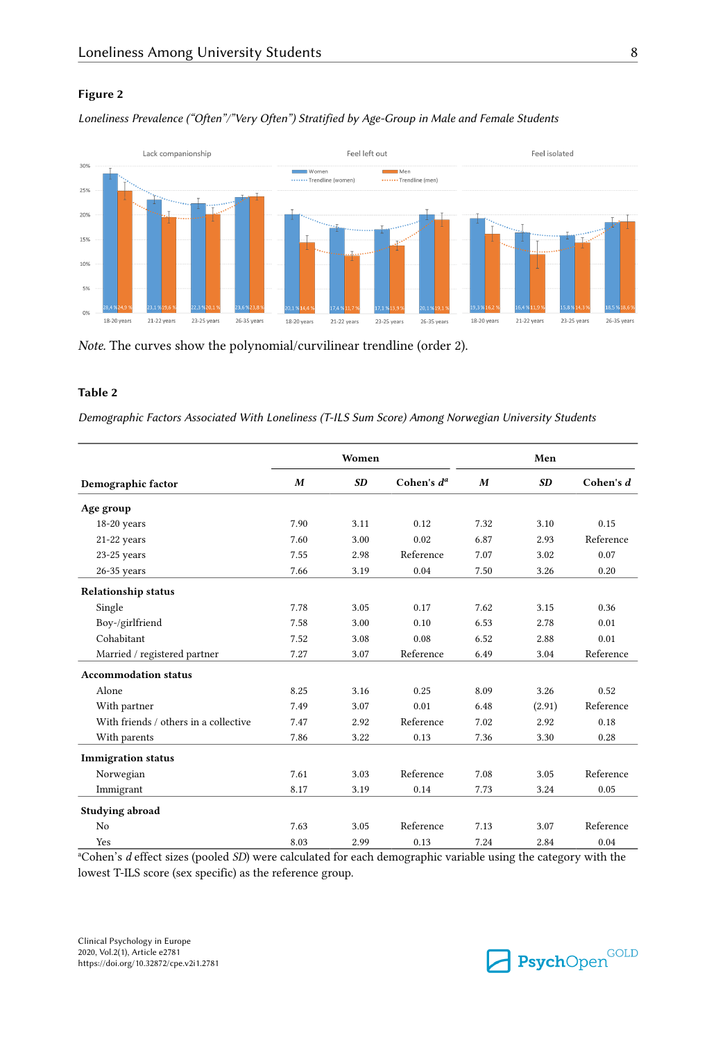#### <span id="page-7-0"></span>Figure 2

Loneliness Prevalence ("Often"/"Very Often") Stratified by Age-Group in Male and Female Students



Note. The curves show the polynomial/curvilinear trendline (order 2).

#### Table 2

Demographic Factors Associated With Loneliness (T-ILS Sum Score) Among Norwegian University Students

|                                       |      | Women     |               |      | Men       |             |
|---------------------------------------|------|-----------|---------------|------|-----------|-------------|
| Demographic factor                    | M    | <b>SD</b> | Cohen's $d^a$ | M    | <b>SD</b> | Cohen's $d$ |
| Age group                             |      |           |               |      |           |             |
| 18-20 years                           | 7.90 | 3.11      | 0.12          | 7.32 | 3.10      | 0.15        |
| 21-22 years                           | 7.60 | 3.00      | 0.02          | 6.87 | 2.93      | Reference   |
| $23-25$ years                         | 7.55 | 2.98      | Reference     | 7.07 | 3.02      | 0.07        |
| $26-35$ years                         | 7.66 | 3.19      | 0.04          | 7.50 | 3.26      | 0.20        |
| <b>Relationship status</b>            |      |           |               |      |           |             |
| Single                                | 7.78 | 3.05      | 0.17          | 7.62 | 3.15      | 0.36        |
| Boy-/girlfriend                       | 7.58 | 3.00      | 0.10          | 6.53 | 2.78      | 0.01        |
| Cohabitant                            | 7.52 | 3.08      | 0.08          | 6.52 | 2.88      | 0.01        |
| Married / registered partner          | 7.27 | 3.07      | Reference     | 6.49 | 3.04      | Reference   |
| <b>Accommodation status</b>           |      |           |               |      |           |             |
| Alone                                 | 8.25 | 3.16      | 0.25          | 8.09 | 3.26      | 0.52        |
| With partner                          | 7.49 | 3.07      | 0.01          | 6.48 | (2.91)    | Reference   |
| With friends / others in a collective | 7.47 | 2.92      | Reference     | 7.02 | 2.92      | 0.18        |
| With parents                          | 7.86 | 3.22      | 0.13          | 7.36 | 3.30      | 0.28        |
| <b>Immigration status</b>             |      |           |               |      |           |             |
| Norwegian                             | 7.61 | 3.03      | Reference     | 7.08 | 3.05      | Reference   |
| Immigrant                             | 8.17 | 3.19      | 0.14          | 7.73 | 3.24      | 0.05        |
| Studying abroad                       |      |           |               |      |           |             |
| No                                    | 7.63 | 3.05      | Reference     | 7.13 | 3.07      | Reference   |
| Yes                                   | 8.03 | 2.99      | 0.13          | 7.24 | 2.84      | 0.04        |

<sup>a</sup>Cohen's d effect sizes (pooled SD) were calculated for each demographic variable using the category with the lowest T-ILS score (sex specific) as the reference group.

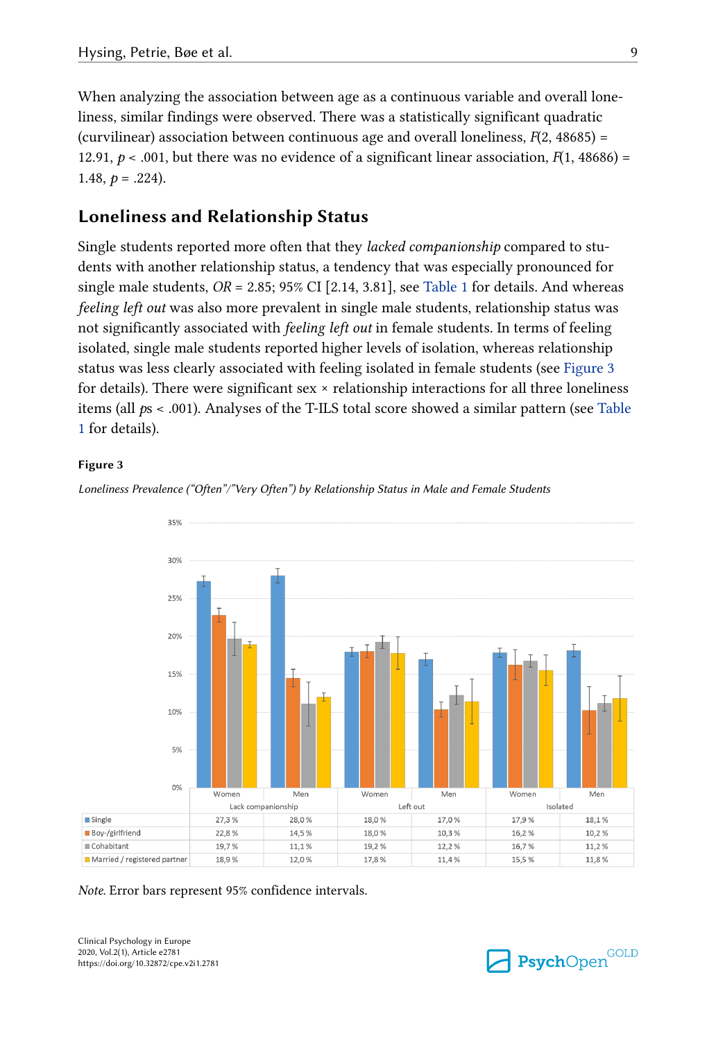When analyzing the association between age as a continuous variable and overall loneliness, similar findings were observed. There was a statistically significant quadratic (curvilinear) association between continuous age and overall loneliness,  $F(2, 48685)$  = 12.91,  $p < .001$ , but there was no evidence of a significant linear association,  $F(1, 48686) =$ 1.48,  $p = .224$ ).

## Loneliness and Relationship Status

Single students reported more often that they *lacked companionship* compared to students with another relationship status, a tendency that was especially pronounced for single male students,  $OR = 2.85$ ; 95% CI [2.14, 3.81], see [Table 1](#page-6-0) for details. And whereas feeling left out was also more prevalent in single male students, relationship status was not significantly associated with feeling left out in female students. In terms of feeling isolated, single male students reported higher levels of isolation, whereas relationship status was less clearly associated with feeling isolated in female students (see Figure 3 for details). There were significant sex × relationship interactions for all three loneliness items (all  $ps < .001$ ). Analyses of the T-ILS total score showed a similar pattern (see [Table](#page-6-0) [1](#page-6-0) for details).

#### Figure 3



Loneliness Prevalence ("Often"/"Very Often") by Relationship Status in Male and Female Students

#### Note. Error bars represent 95% confidence intervals.

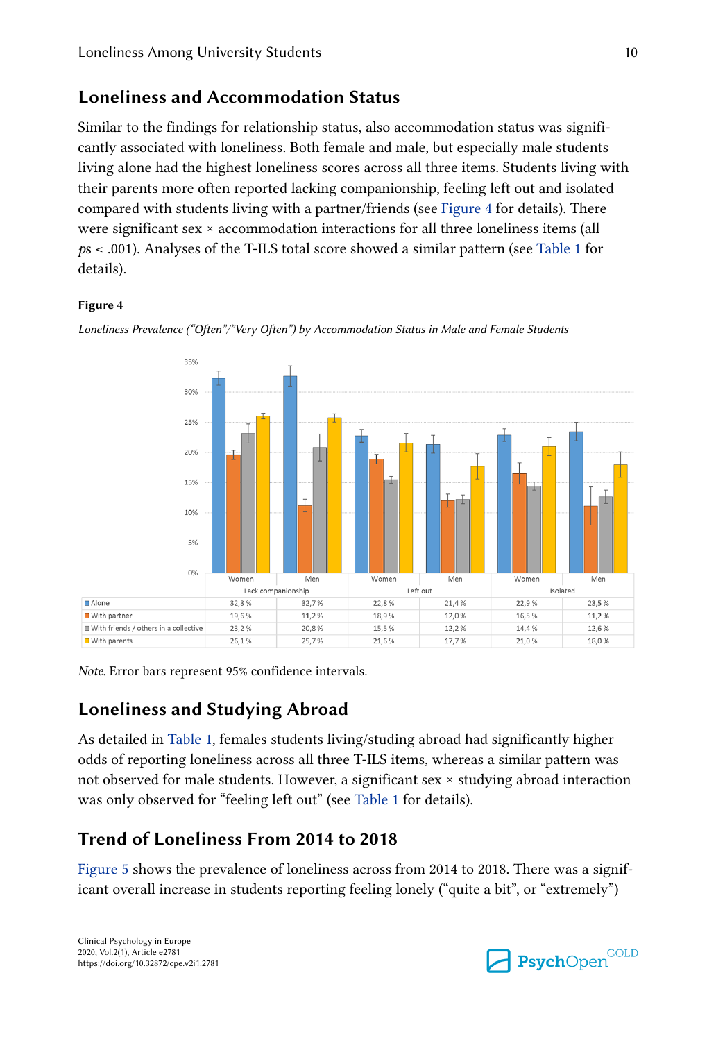## Loneliness and Accommodation Status

Similar to the findings for relationship status, also accommodation status was signifi‐ cantly associated with loneliness. Both female and male, but especially male students living alone had the highest loneliness scores across all three items. Students living with their parents more often reported lacking companionship, feeling left out and isolated compared with students living with a partner/friends (see Figure 4 for details). There were significant sex × accommodation interactions for all three loneliness items (all ps < .001). Analyses of the T-ILS total score showed a similar pattern (see [Table 1](#page-6-0) for details).

#### Figure 4



Loneliness Prevalence ("Often"/"Very Often") by Accommodation Status in Male and Female Students

Note. Error bars represent 95% confidence intervals.

## Loneliness and Studying Abroad

As detailed in [Table 1,](#page-6-0) females students living/studing abroad had significantly higher odds of reporting loneliness across all three T-ILS items, whereas a similar pattern was not observed for male students. However, a significant sex × studying abroad interaction was only observed for "feeling left out" (see [Table 1](#page-6-0) for details).

## Trend of Loneliness From 2014 to 2018

[Figure 5](#page-10-0) shows the prevalence of loneliness across from 2014 to 2018. There was a significant overall increase in students reporting feeling lonely ("quite a bit", or "extremely")

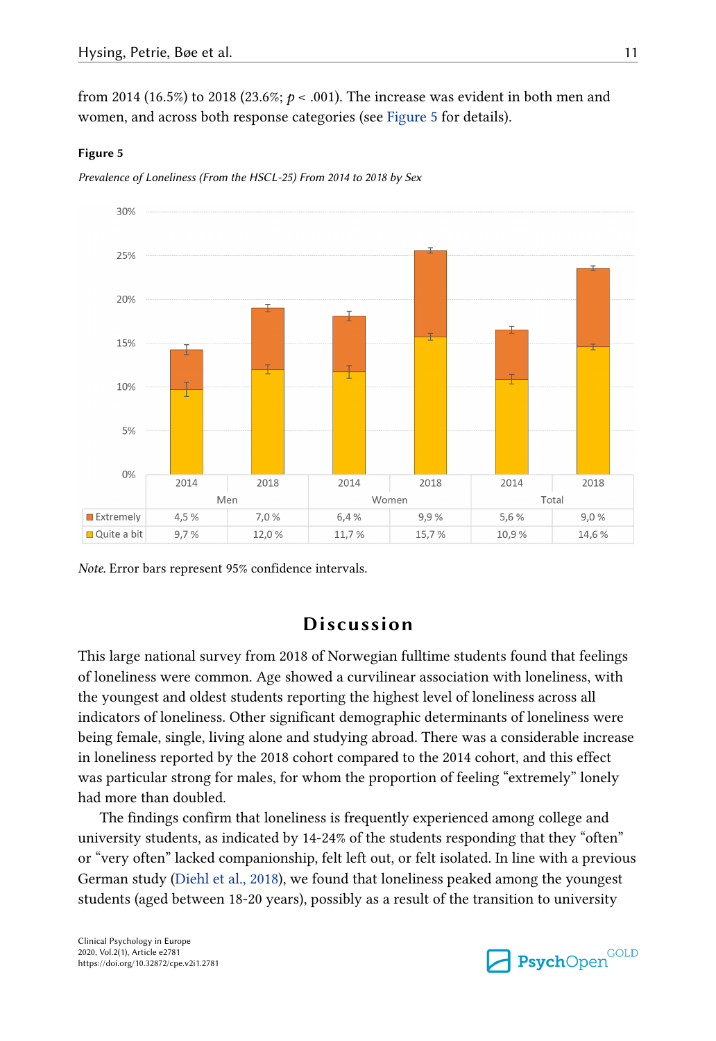<span id="page-10-0"></span>from 2014 (16.5%) to 2018 (23.6%;  $p < .001$ ). The increase was evident in both men and women, and across both response categories (see Figure 5 for details).

#### Figure 5

Prevalence of Loneliness (From the HSCL-25) From 2014 to 2018 by Sex



Note. Error bars represent 95% confidence intervals.

## Discussion

This large national survey from 2018 of Norwegian fulltime students found that feelings of loneliness were common. Age showed a curvilinear association with loneliness, with the youngest and oldest students reporting the highest level of loneliness across all indicators of loneliness. Other significant demographic determinants of loneliness were being female, single, living alone and studying abroad. There was a considerable increase in loneliness reported by the 2018 cohort compared to the 2014 cohort, and this effect was particular strong for males, for whom the proportion of feeling "extremely" lonely had more than doubled.

The findings confirm that loneliness is frequently experienced among college and university students, as indicated by 14-24% of the students responding that they "often" or "very often" lacked companionship, felt left out, or felt isolated. In line with a previous German study [\(Diehl et al., 2018\)](#page-13-0), we found that loneliness peaked among the youngest students (aged between 18-20 years), possibly as a result of the transition to university

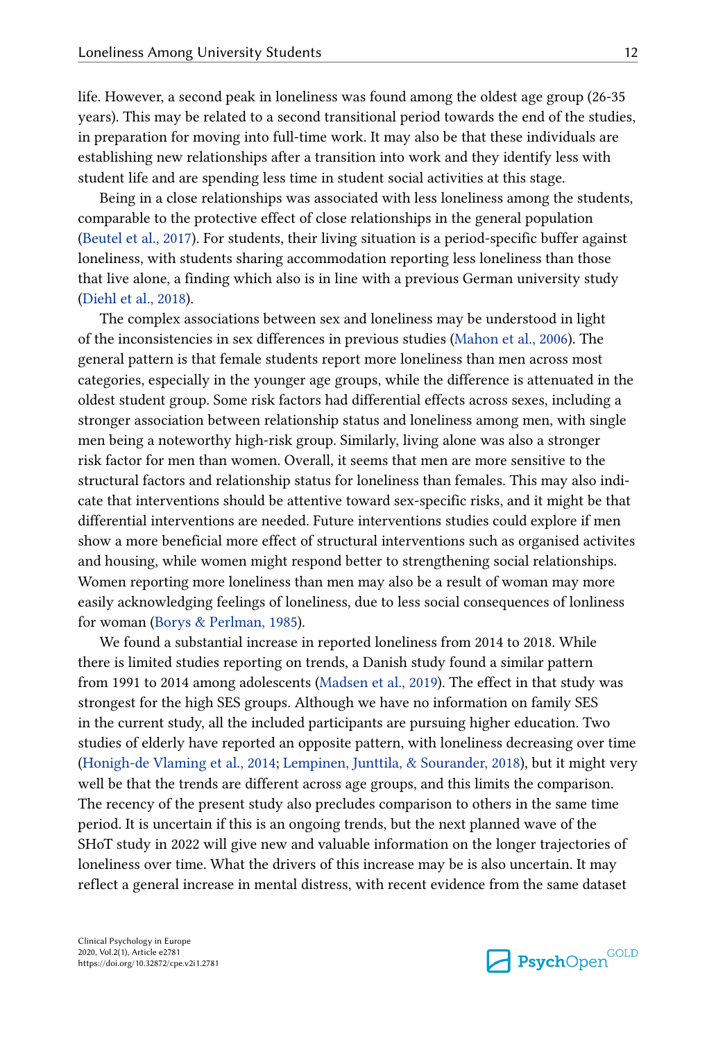life. However, a second peak in loneliness was found among the oldest age group (26-35 years). This may be related to a second transitional period towards the end of the studies, in preparation for moving into full-time work. It may also be that these individuals are establishing new relationships after a transition into work and they identify less with student life and are spending less time in student social activities at this stage.

Being in a close relationships was associated with less loneliness among the students, comparable to the protective effect of close relationships in the general population [\(Beutel et al., 2017](#page-13-0)). For students, their living situation is a period-specific buffer against loneliness, with students sharing accommodation reporting less loneliness than those that live alone, a finding which also is in line with a previous German university study [\(Diehl et al., 2018\)](#page-13-0).

The complex associations between sex and loneliness may be understood in light of the inconsistencies in sex differences in previous studies [\(Mahon et al., 2006](#page-14-0)). The general pattern is that female students report more loneliness than men across most categories, especially in the younger age groups, while the difference is attenuated in the oldest student group. Some risk factors had differential effects across sexes, including a stronger association between relationship status and loneliness among men, with single men being a noteworthy high-risk group. Similarly, living alone was also a stronger risk factor for men than women. Overall, it seems that men are more sensitive to the structural factors and relationship status for loneliness than females. This may also indi‐ cate that interventions should be attentive toward sex-specific risks, and it might be that differential interventions are needed. Future interventions studies could explore if men show a more beneficial more effect of structural interventions such as organised activites and housing, while women might respond better to strengthening social relationships. Women reporting more loneliness than men may also be a result of woman may more easily acknowledging feelings of loneliness, due to less social consequences of lonliness for woman [\(Borys & Perlman, 1985](#page-13-0)).

We found a substantial increase in reported loneliness from 2014 to 2018. While there is limited studies reporting on trends, a Danish study found a similar pattern from 1991 to 2014 among adolescents ([Madsen et al., 2019\)](#page-14-0). The effect in that study was strongest for the high SES groups. Although we have no information on family SES in the current study, all the included participants are pursuing higher education. Two studies of elderly have reported an opposite pattern, with loneliness decreasing over time [\(Honigh-de Vlaming et al., 2014](#page-14-0); [Lempinen, Junttila, & Sourander, 2018\)](#page-14-0), but it might very well be that the trends are different across age groups, and this limits the comparison. The recency of the present study also precludes comparison to others in the same time period. It is uncertain if this is an ongoing trends, but the next planned wave of the SHoT study in 2022 will give new and valuable information on the longer trajectories of loneliness over time. What the drivers of this increase may be is also uncertain. It may reflect a general increase in mental distress, with recent evidence from the same dataset

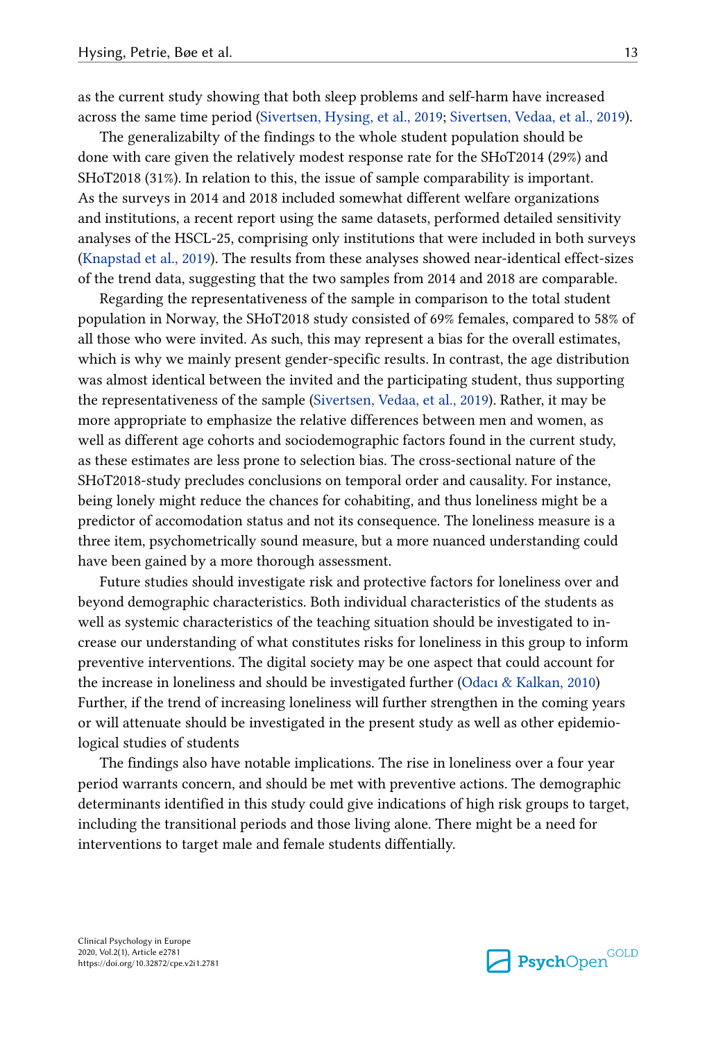as the current study showing that both sleep problems and self-harm have increased across the same time period [\(Sivertsen, Hysing, et al., 2019](#page-14-0); [Sivertsen, Vedaa, et al., 2019\)](#page-15-0).

The generalizabilty of the findings to the whole student population should be done with care given the relatively modest response rate for the SHoT2014 (29%) and SHoT2018 (31%). In relation to this, the issue of sample comparability is important. As the surveys in 2014 and 2018 included somewhat different welfare organizations and institutions, a recent report using the same datasets, performed detailed sensitivity analyses of the HSCL-25, comprising only institutions that were included in both surveys [\(Knapstad et al., 2019\)](#page-14-0). The results from these analyses showed near-identical effect-sizes of the trend data, suggesting that the two samples from 2014 and 2018 are comparable.

Regarding the representativeness of the sample in comparison to the total student population in Norway, the SHoT2018 study consisted of 69% females, compared to 58% of all those who were invited. As such, this may represent a bias for the overall estimates, which is why we mainly present gender-specific results. In contrast, the age distribution was almost identical between the invited and the participating student, thus supporting the representativeness of the sample [\(Sivertsen, Vedaa, et al., 2019](#page-15-0)). Rather, it may be more appropriate to emphasize the relative differences between men and women, as well as different age cohorts and sociodemographic factors found in the current study, as these estimates are less prone to selection bias. The cross-sectional nature of the SHoT2018-study precludes conclusions on temporal order and causality. For instance, being lonely might reduce the chances for cohabiting, and thus loneliness might be a predictor of accomodation status and not its consequence. The loneliness measure is a three item, psychometrically sound measure, but a more nuanced understanding could have been gained by a more thorough assessment.

Future studies should investigate risk and protective factors for loneliness over and beyond demographic characteristics. Both individual characteristics of the students as well as systemic characteristics of the teaching situation should be investigated to increase our understanding of what constitutes risks for loneliness in this group to inform preventive interventions. The digital society may be one aspect that could account for the increase in loneliness and should be investigated further [\(Odacı & Kalkan, 2010](#page-14-0)) Further, if the trend of increasing loneliness will further strengthen in the coming years or will attenuate should be investigated in the present study as well as other epidemio‐ logical studies of students

The findings also have notable implications. The rise in loneliness over a four year period warrants concern, and should be met with preventive actions. The demographic determinants identified in this study could give indications of high risk groups to target, including the transitional periods and those living alone. There might be a need for interventions to target male and female students diffentially.

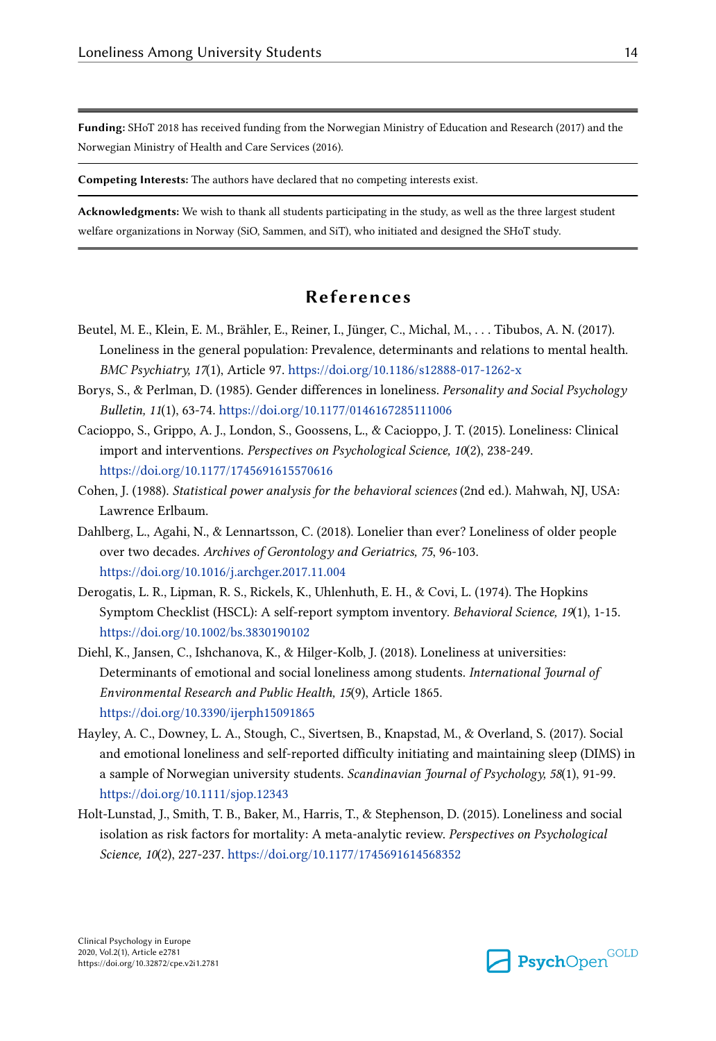<span id="page-13-0"></span>Funding: SHoT 2018 has received funding from the Norwegian Ministry of Education and Research (2017) and the Norwegian Ministry of Health and Care Services (2016).

Competing Interests: The authors have declared that no competing interests exist.

Acknowledgments: We wish to thank all students participating in the study, as well as the three largest student welfare organizations in Norway (SiO, Sammen, and SiT), who initiated and designed the SHoT study.

## References

- Beutel, M. E., Klein, E. M., Brähler, E., Reiner, I., Jünger, C., Michal, M., . . . Tibubos, A. N. (2017). Loneliness in the general population: Prevalence, determinants and relations to mental health. BMC Psychiatry, 17(1), Article 97.<https://doi.org/10.1186/s12888-017-1262-x>
- Borys, S., & Perlman, D. (1985). Gender differences in loneliness. Personality and Social Psychology Bulletin, 11(1), 63-74.<https://doi.org/10.1177/0146167285111006>
- Cacioppo, S., Grippo, A. J., London, S., Goossens, L., & Cacioppo, J. T. (2015). Loneliness: Clinical import and interventions. Perspectives on Psychological Science, 10(2), 238-249. <https://doi.org/10.1177/1745691615570616>
- Cohen, J. (1988). Statistical power analysis for the behavioral sciences (2nd ed.). Mahwah, NJ, USA: Lawrence Erlbaum.
- Dahlberg, L., Agahi, N., & Lennartsson, C. (2018). Lonelier than ever? Loneliness of older people over two decades. Archives of Gerontology and Geriatrics, 75, 96-103. <https://doi.org/10.1016/j.archger.2017.11.004>
- Derogatis, L. R., Lipman, R. S., Rickels, K., Uhlenhuth, E. H., & Covi, L. (1974). The Hopkins Symptom Checklist (HSCL): A self-report symptom inventory. Behavioral Science, 19(1), 1-15. <https://doi.org/10.1002/bs.3830190102>
- Diehl, K., Jansen, C., Ishchanova, K., & Hilger-Kolb, J. (2018). Loneliness at universities: Determinants of emotional and social loneliness among students. International Journal of Environmental Research and Public Health, 15(9), Article 1865. <https://doi.org/10.3390/ijerph15091865>
- Hayley, A. C., Downey, L. A., Stough, C., Sivertsen, B., Knapstad, M., & Overland, S. (2017). Social and emotional loneliness and self-reported difficulty initiating and maintaining sleep (DIMS) in a sample of Norwegian university students. Scandinavian Journal of Psychology, 58(1), 91-99. <https://doi.org/10.1111/sjop.12343>
- Holt-Lunstad, J., Smith, T. B., Baker, M., Harris, T., & Stephenson, D. (2015). Loneliness and social isolation as risk factors for mortality: A meta-analytic review. Perspectives on Psychological Science, 10(2), 227-237. <https://doi.org/10.1177/1745691614568352>

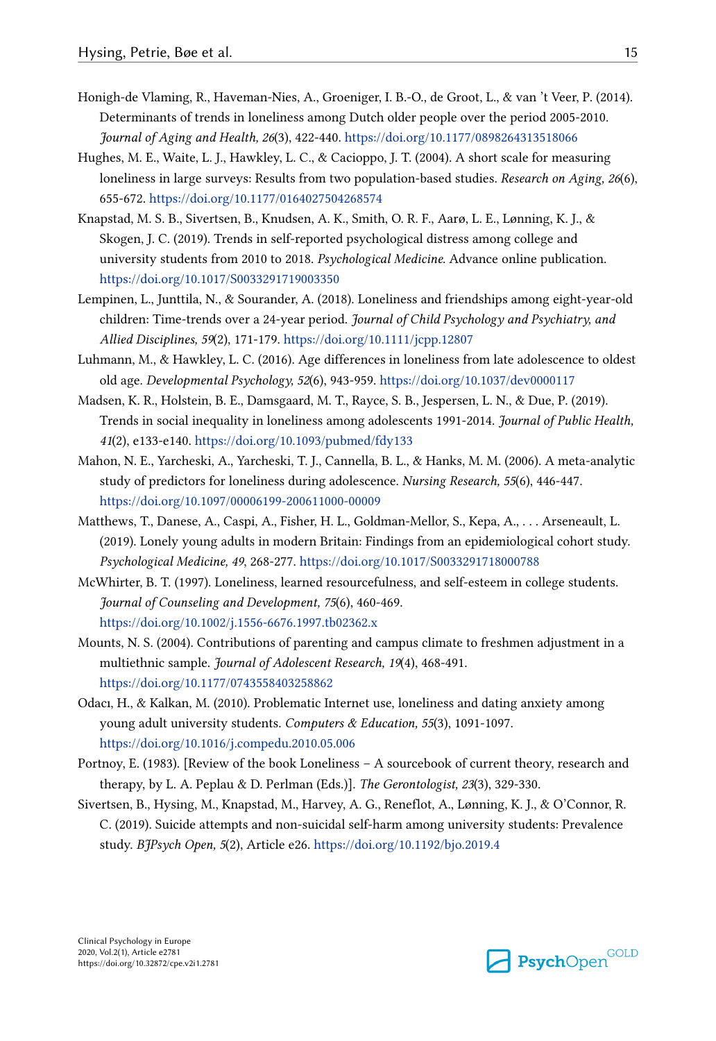- <span id="page-14-0"></span>Honigh-de Vlaming, R., Haveman-Nies, A., Groeniger, I. B.-O., de Groot, L., & van 't Veer, P. (2014). Determinants of trends in loneliness among Dutch older people over the period 2005-2010. Journal of Aging and Health, 26(3), 422-440.<https://doi.org/10.1177/0898264313518066>
- Hughes, M. E., Waite, L. J., Hawkley, L. C., & Cacioppo, J. T. (2004). A short scale for measuring loneliness in large surveys: Results from two population-based studies. Research on Aging, 26(6), 655-672. <https://doi.org/10.1177/0164027504268574>
- Knapstad, M. S. B., Sivertsen, B., Knudsen, A. K., Smith, O. R. F., Aarø, L. E., Lønning, K. J., & Skogen, J. C. (2019). Trends in self-reported psychological distress among college and university students from 2010 to 2018. Psychological Medicine. Advance online publication. <https://doi.org/10.1017/S0033291719003350>
- Lempinen, L., Junttila, N., & Sourander, A. (2018). Loneliness and friendships among eight-year-old children: Time-trends over a 24-year period. Journal of Child Psychology and Psychiatry, and Allied Disciplines, 59(2), 171-179.<https://doi.org/10.1111/jcpp.12807>
- Luhmann, M., & Hawkley, L. C. (2016). Age differences in loneliness from late adolescence to oldest old age. Developmental Psychology, 52(6), 943-959.<https://doi.org/10.1037/dev0000117>
- Madsen, K. R., Holstein, B. E., Damsgaard, M. T., Rayce, S. B., Jespersen, L. N., & Due, P. (2019). Trends in social inequality in loneliness among adolescents 1991-2014. Journal of Public Health, 41(2), e133-e140.<https://doi.org/10.1093/pubmed/fdy133>
- Mahon, N. E., Yarcheski, A., Yarcheski, T. J., Cannella, B. L., & Hanks, M. M. (2006). A meta-analytic study of predictors for loneliness during adolescence. Nursing Research, 55(6), 446-447. <https://doi.org/10.1097/00006199-200611000-00009>
- Matthews, T., Danese, A., Caspi, A., Fisher, H. L., Goldman-Mellor, S., Kepa, A., . . . Arseneault, L. (2019). Lonely young adults in modern Britain: Findings from an epidemiological cohort study. Psychological Medicine, 49, 268-277. <https://doi.org/10.1017/S0033291718000788>
- McWhirter, B. T. (1997). Loneliness, learned resourcefulness, and self-esteem in college students. Journal of Counseling and Development, 75(6), 460-469. <https://doi.org/10.1002/j.1556-6676.1997.tb02362.x>
- Mounts, N. S. (2004). Contributions of parenting and campus climate to freshmen adjustment in a multiethnic sample. Journal of Adolescent Research, 19(4), 468-491. <https://doi.org/10.1177/0743558403258862>
- Odacı, H., & Kalkan, M. (2010). Problematic Internet use, loneliness and dating anxiety among young adult university students. Computers & Education, 55(3), 1091-1097. <https://doi.org/10.1016/j.compedu.2010.05.006>
- Portnoy, E. (1983). [Review of the book Loneliness A sourcebook of current theory, research and therapy, by L. A. Peplau & D. Perlman (Eds.)]. The Gerontologist, 23(3), 329-330.
- Sivertsen, B., Hysing, M., Knapstad, M., Harvey, A. G., Reneflot, A., Lønning, K. J., & O'Connor, R. C. (2019). Suicide attempts and non-suicidal self-harm among university students: Prevalence study. BJPsych Open, 5(2), Article e26.<https://doi.org/10.1192/bjo.2019.4>